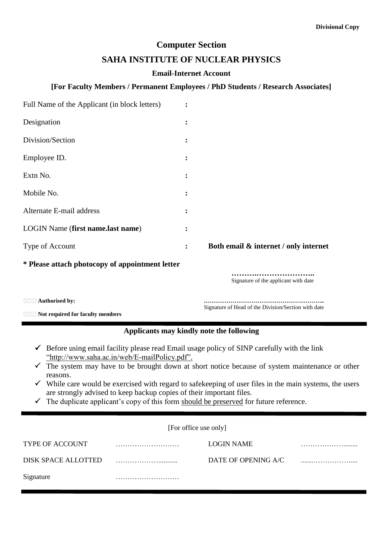# **Computer Section**

### **SAHA INSTITUTE OF NUCLEAR PHYSICS**

#### **Email-Internet Account**

### **[For Faculty Members / Permanent Employees / PhD Students / Research Associates]**

| Full Name of the Applicant (in block letters)   |                |                                       |
|-------------------------------------------------|----------------|---------------------------------------|
| Designation                                     | ፡              |                                       |
| Division/Section                                | $\ddot{\cdot}$ |                                       |
| Employee ID.                                    |                |                                       |
| Extn No.                                        | $\ddot{\cdot}$ |                                       |
| Mobile No.                                      | $\ddot{\cdot}$ |                                       |
| Alternate E-mail address                        | $\bullet$      |                                       |
| LOGIN Name (first name.last name)               |                |                                       |
| Type of Account                                 | $\ddot{\cdot}$ | Both email & internet / only internet |
| * Please attach photocopy of appointment letter |                |                                       |
|                                                 |                | Signature of the applicant with date  |
| □□□ Authorised by:                              |                |                                       |

**Not required for faculty members**

Signature of Head of the Division/Section with date

### **Applicants may kindly note the following**

- $\checkmark$  Before using email facility please read Email usage policy of SINP carefully with the link "http://www.saha.ac.in/web/E-mailPolicy.pdf".
- $\checkmark$  The system may have to be brought down at short notice because of system maintenance or other reasons.
- $\checkmark$  While care would be exercised with regard to safekeeping of user files in the main systems, the users are strongly advised to keep backup copies of their important files.
- $\checkmark$  The duplicate applicant's copy of this form should be preserved for future reference.

| [For office use only] |
|-----------------------|
|-----------------------|

| <b>TYPE OF ACCOUNT</b> | LOGIN NAME          |  |
|------------------------|---------------------|--|
| DISK SPACE ALLOTTED    | DATE OF OPENING A/C |  |
| Signature              |                     |  |